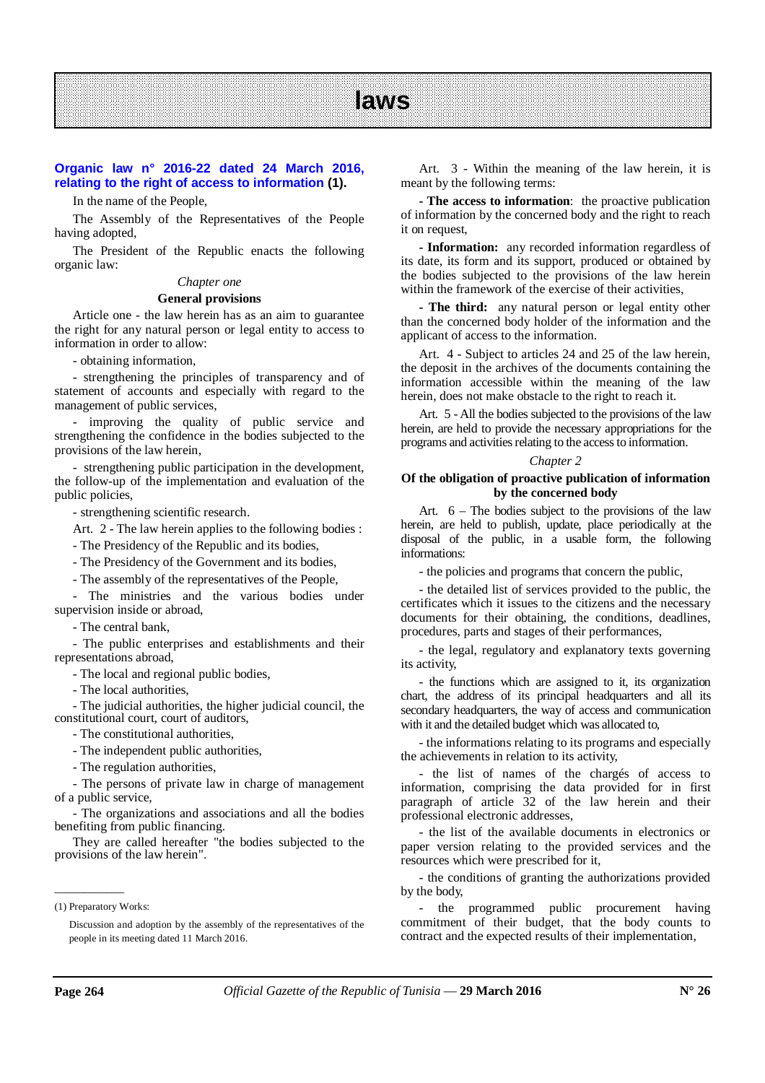# **Organic law n° 2016-22 dated 24 March 2016, relating to the right of access to information (1).**

In the name of the People,

The Assembly of the Representatives of the People having adopted,

The President of the Republic enacts the following organic law:

#### *Chapter one*

#### **General provisions**

Article one - the law herein has as an aim to guarantee the right for any natural person or legal entity to access to information in order to allow:

- obtaining information,

- strengthening the principles of transparency and of statement of accounts and especially with regard to the management of public services,

- improving the quality of public service and strengthening the confidence in the bodies subjected to the provisions of the law herein,

- strengthening public participation in the development, the follow-up of the implementation and evaluation of the public policies,

- strengthening scientific research.

Art. 2 - The law herein applies to the following bodies :

- The Presidency of the Republic and its bodies,

- The Presidency of the Government and its bodies,

- The assembly of the representatives of the People,

- The ministries and the various bodies under supervision inside or abroad,

- The central bank,

- The public enterprises and establishments and their representations abroad,

- The local and regional public bodies,

- The local authorities,

- The judicial authorities, the higher judicial council, the constitutional court, court of auditors,

- The constitutional authorities,

- The independent public authorities,

- The regulation authorities,

- The persons of private law in charge of management of a public service,

- The organizations and associations and all the bodies benefiting from public financing.

They are called hereafter "the bodies subjected to the provisions of the law herein".

\_\_\_\_\_\_\_\_\_\_\_\_

Art. 3 - Within the meaning of the law herein, it is meant by the following terms:

**- The access to information**: the proactive publication of information by the concerned body and the right to reach it on request,

**- Information:** any recorded information regardless of its date, its form and its support, produced or obtained by the bodies subjected to the provisions of the law herein within the framework of the exercise of their activities,

**- The third:** any natural person or legal entity other than the concerned body holder of the information and the applicant of access to the information.

Art. 4 - Subject to articles 24 and 25 of the law herein, the deposit in the archives of the documents containing the information accessible within the meaning of the law herein, does not make obstacle to the right to reach it.

Art. 5 - All the bodies subjected to the provisions of the law herein, are held to provide the necessary appropriations for the programs and activities relating to the access to information.

#### *Chapter 2*

#### **Of the obligation of proactive publication of information by the concerned body**

Art. 6 – The bodies subject to the provisions of the law herein, are held to publish, update, place periodically at the disposal of the public, in a usable form, the following informations:

- the policies and programs that concern the public,

- the detailed list of services provided to the public, the certificates which it issues to the citizens and the necessary documents for their obtaining, the conditions, deadlines, procedures, parts and stages of their performances,

- the legal, regulatory and explanatory texts governing its activity,

- the functions which are assigned to it, its organization chart, the address of its principal headquarters and all its secondary headquarters, the way of access and communication with it and the detailed budget which was allocated to,

- the informations relating to its programs and especially the achievements in relation to its activity,

- the list of names of the chargés of access to information, comprising the data provided for in first paragraph of article 32 of the law herein and their professional electronic addresses,

- the list of the available documents in electronics or paper version relating to the provided services and the resources which were prescribed for it,

- the conditions of granting the authorizations provided by the body,

the programmed public procurement having commitment of their budget, that the body counts to contract and the expected results of their implementation,

<sup>(1)</sup> Preparatory Works:

Discussion and adoption by the assembly of the representatives of the people in its meeting dated 11 March 2016.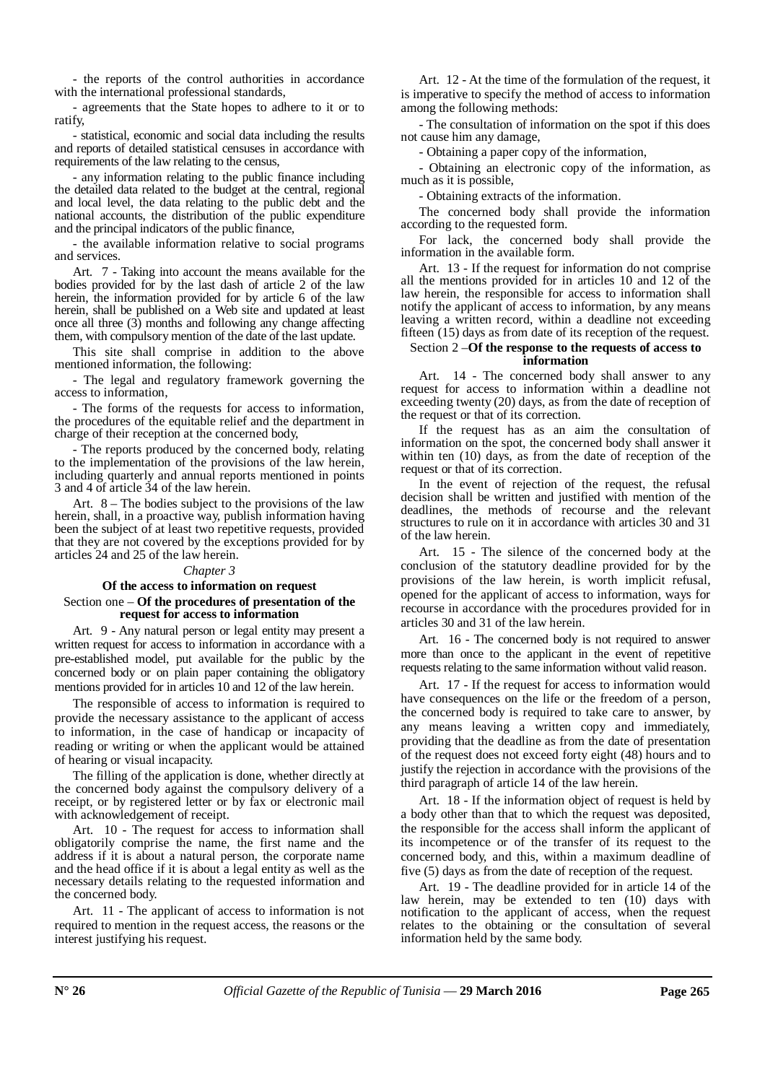- the reports of the control authorities in accordance with the international professional standards,

- agreements that the State hopes to adhere to it or to ratify,

- statistical, economic and social data including the results and reports of detailed statistical censuses in accordance with requirements of the law relating to the census,

- any information relating to the public finance including the detailed data related to the budget at the central, regional and local level, the data relating to the public debt and the national accounts, the distribution of the public expenditure and the principal indicators of the public finance,

- the available information relative to social programs and services.

Art. 7 - Taking into account the means available for the bodies provided for by the last dash of article 2 of the law herein, the information provided for by article 6 of the law herein, shall be published on a Web site and updated at least once all three (3) months and following any change affecting them, with compulsory mention of the date of the last update.

This site shall comprise in addition to the above mentioned information, the following:

- The legal and regulatory framework governing the access to information,

- The forms of the requests for access to information, the procedures of the equitable relief and the department in charge of their reception at the concerned body,

- The reports produced by the concerned body, relating to the implementation of the provisions of the law herein, including quarterly and annual reports mentioned in points 3 and 4 of article 34 of the law herein.

Art. 8 – The bodies subject to the provisions of the law herein, shall, in a proactive way, publish information having been the subject of at least two repetitive requests, provided that they are not covered by the exceptions provided for by articles 24 and 25 of the law herein.

# *Chapter 3*

#### **Of the access to information on request** Section one – **Of the procedures of presentation of the request for access to information**

Art. 9 - Any natural person or legal entity may present a written request for access to information in accordance with a pre-established model, put available for the public by the concerned body or on plain paper containing the obligatory mentions provided for in articles 10 and 12 of the law herein.

The responsible of access to information is required to provide the necessary assistance to the applicant of access to information, in the case of handicap or incapacity of reading or writing or when the applicant would be attained of hearing or visual incapacity.

The filling of the application is done, whether directly at the concerned body against the compulsory delivery of a receipt, or by registered letter or by fax or electronic mail with acknowledgement of receipt.

Art. 10 - The request for access to information shall obligatorily comprise the name, the first name and the address if it is about a natural person, the corporate name and the head office if it is about a legal entity as well as the necessary details relating to the requested information and the concerned body.

Art. 11 - The applicant of access to information is not required to mention in the request access, the reasons or the interest justifying his request.

Art. 12 - At the time of the formulation of the request, it is imperative to specify the method of access to information among the following methods:

- The consultation of information on the spot if this does not cause him any damage,

- Obtaining a paper copy of the information,

- Obtaining an electronic copy of the information, as much as it is possible,

- Obtaining extracts of the information.

The concerned body shall provide the information according to the requested form.

For lack, the concerned body shall provide the information in the available form.

Art. 13 - If the request for information do not comprise all the mentions provided for in articles 10 and 12 of the law herein, the responsible for access to information shall notify the applicant of access to information, by any means leaving a written record, within a deadline not exceeding fifteen (15) days as from date of its reception of the request.

# Section 2 –**Of the response to the requests of access to information**

Art. 14 - The concerned body shall answer to any request for access to information within a deadline not exceeding twenty (20) days, as from the date of reception of the request or that of its correction.

If the request has as an aim the consultation of information on the spot, the concerned body shall answer it within ten (10) days, as from the date of reception of the request or that of its correction.

In the event of rejection of the request, the refusal decision shall be written and justified with mention of the deadlines, the methods of recourse and the relevant structures to rule on it in accordance with articles 30 and 31 of the law herein.

Art. 15 - The silence of the concerned body at the conclusion of the statutory deadline provided for by the provisions of the law herein, is worth implicit refusal, opened for the applicant of access to information, ways for recourse in accordance with the procedures provided for in articles 30 and 31 of the law herein.

Art. 16 - The concerned body is not required to answer more than once to the applicant in the event of repetitive requests relating to the same information without valid reason.

Art. 17 - If the request for access to information would have consequences on the life or the freedom of a person, the concerned body is required to take care to answer, by any means leaving a written copy and immediately, providing that the deadline as from the date of presentation of the request does not exceed forty eight (48) hours and to justify the rejection in accordance with the provisions of the third paragraph of article 14 of the law herein.

Art. 18 - If the information object of request is held by a body other than that to which the request was deposited, the responsible for the access shall inform the applicant of its incompetence or of the transfer of its request to the concerned body, and this, within a maximum deadline of five (5) days as from the date of reception of the request.

Art. 19 - The deadline provided for in article 14 of the law herein, may be extended to ten (10) days with notification to the applicant of access, when the request relates to the obtaining or the consultation of several information held by the same body.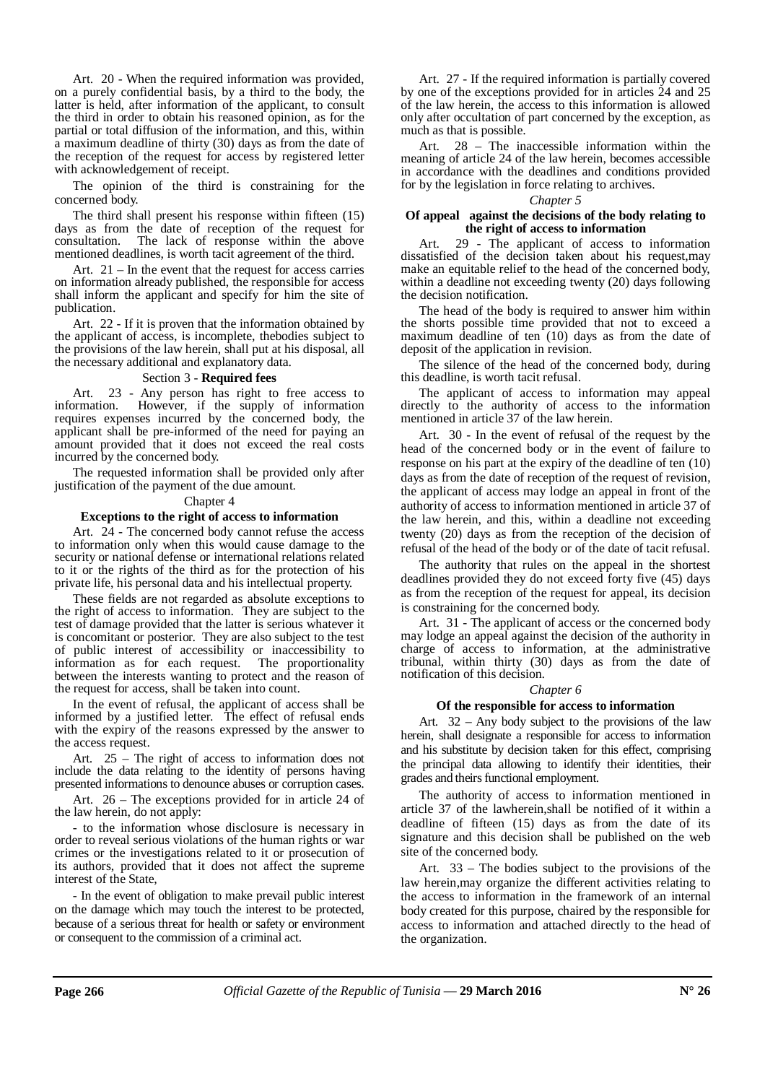Art. 20 - When the required information was provided, on a purely confidential basis, by a third to the body, the latter is held, after information of the applicant, to consult the third in order to obtain his reasoned opinion, as for the partial or total diffusion of the information, and this, within a maximum deadline of thirty (30) days as from the date of the reception of the request for access by registered letter with acknowledgement of receipt.

The opinion of the third is constraining for the concerned body.

The third shall present his response within fifteen (15) days as from the date of reception of the request for consultation. The lack of response within the above mentioned deadlines, is worth tacit agreement of the third.

Art. 21 – In the event that the request for access carries on information already published, the responsible for access shall inform the applicant and specify for him the site of publication.

Art. 22 - If it is proven that the information obtained by the applicant of access, is incomplete, thebodies subject to the provisions of the law herein, shall put at his disposal, all the necessary additional and explanatory data.

#### Section 3 - **Required fees**

Art. 23 - Any person has right to free access to information. However, if the supply of information However, if the supply of information requires expenses incurred by the concerned body, the applicant shall be pre-informed of the need for paying an amount provided that it does not exceed the real costs incurred by the concerned body.

The requested information shall be provided only after justification of the payment of the due amount.

Chapter 4

#### **Exceptions to the right of access to information**

Art. 24 - The concerned body cannot refuse the access to information only when this would cause damage to the security or national defense or international relations related to it or the rights of the third as for the protection of his private life, his personal data and his intellectual property.

These fields are not regarded as absolute exceptions to the right of access to information. They are subject to the test of damage provided that the latter is serious whatever it is concomitant or posterior. They are also subject to the test of public interest of accessibility or inaccessibility to information as for each request. The proportionality between the interests wanting to protect and the reason of the request for access, shall be taken into count.

In the event of refusal, the applicant of access shall be informed by a justified letter. The effect of refusal ends with the expiry of the reasons expressed by the answer to the access request.

Art. 25 – The right of access to information does not include the data relating to the identity of persons having presented informations to denounce abuses or corruption cases.

Art. 26 – The exceptions provided for in article 24 of the law herein, do not apply:

- to the information whose disclosure is necessary in order to reveal serious violations of the human rights or war crimes or the investigations related to it or prosecution of its authors, provided that it does not affect the supreme interest of the State,

- In the event of obligation to make prevail public interest on the damage which may touch the interest to be protected, because of a serious threat for health or safety or environment or consequent to the commission of a criminal act.

Art. 27 - If the required information is partially covered by one of the exceptions provided for in articles 24 and 25 of the law herein, the access to this information is allowed only after occultation of part concerned by the exception, as much as that is possible.

Art. 28 – The inaccessible information within the meaning of article 24 of the law herein, becomes accessible in accordance with the deadlines and conditions provided for by the legislation in force relating to archives.

#### *Chapter 5*

# **Of appeal against the decisions of the body relating to the right of access to information**

Art. 29 - The applicant of access to information dissatisfied of the decision taken about his request,may make an equitable relief to the head of the concerned body, within a deadline not exceeding twenty (20) days following the decision notification.

The head of the body is required to answer him within the shorts possible time provided that not to exceed a maximum deadline of ten (10) days as from the date of deposit of the application in revision.

The silence of the head of the concerned body, during this deadline, is worth tacit refusal.

The applicant of access to information may appeal directly to the authority of access to the information mentioned in article 37 of the law herein.

Art. 30 - In the event of refusal of the request by the head of the concerned body or in the event of failure to response on his part at the expiry of the deadline of ten (10) days as from the date of reception of the request of revision, the applicant of access may lodge an appeal in front of the authority of access to information mentioned in article 37 of the law herein, and this, within a deadline not exceeding twenty (20) days as from the reception of the decision of refusal of the head of the body or of the date of tacit refusal.

The authority that rules on the appeal in the shortest deadlines provided they do not exceed forty five (45) days as from the reception of the request for appeal, its decision is constraining for the concerned body.

Art. 31 - The applicant of access or the concerned body may lodge an appeal against the decision of the authority in charge of access to information, at the administrative tribunal, within thirty (30) days as from the date of notification of this decision.

# *Chapter 6*

# **Of the responsible for access to information**

Art. 32 – Any body subject to the provisions of the law herein, shall designate a responsible for access to information and his substitute by decision taken for this effect, comprising the principal data allowing to identify their identities, their grades and theirs functional employment.

The authority of access to information mentioned in article 37 of the lawherein,shall be notified of it within a deadline of fifteen (15) days as from the date of its signature and this decision shall be published on the web site of the concerned body.

Art. 33 – The bodies subject to the provisions of the law herein,may organize the different activities relating to the access to information in the framework of an internal body created for this purpose, chaired by the responsible for access to information and attached directly to the head of the organization.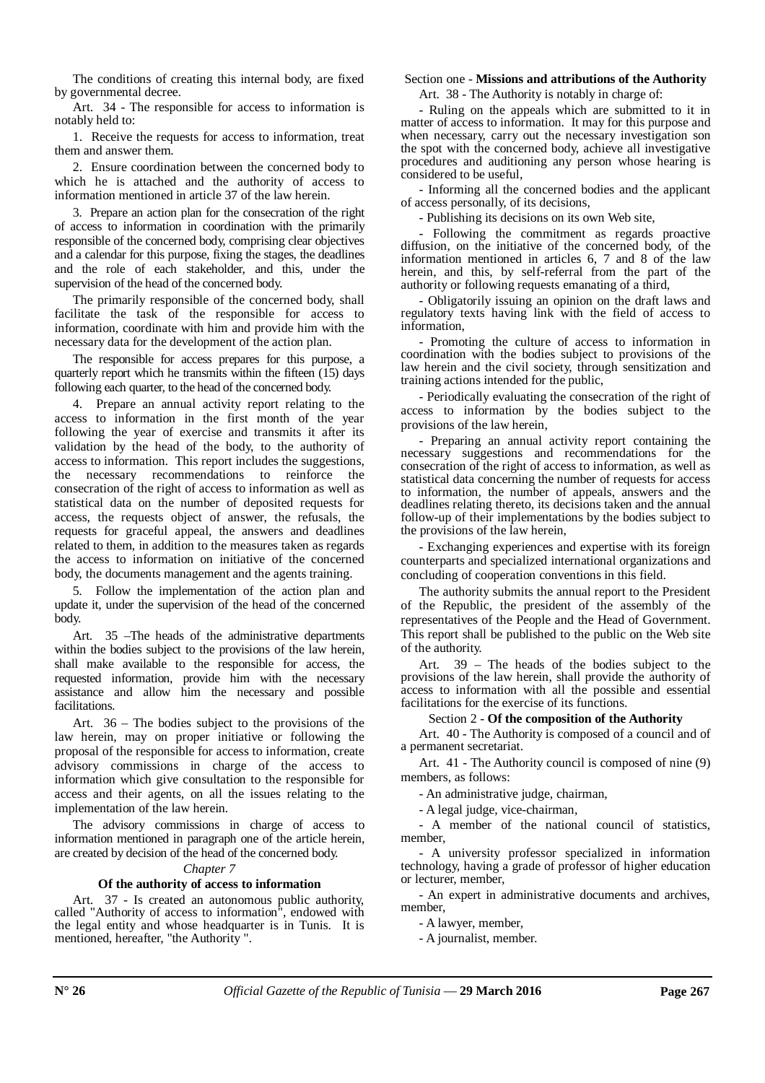The conditions of creating this internal body, are fixed by governmental decree.

Art. 34 - The responsible for access to information is notably held to:

1. Receive the requests for access to information, treat them and answer them.

2. Ensure coordination between the concerned body to which he is attached and the authority of access to information mentioned in article 37 of the law herein.

3. Prepare an action plan for the consecration of the right of access to information in coordination with the primarily responsible of the concerned body, comprising clear objectives and a calendar for this purpose, fixing the stages, the deadlines and the role of each stakeholder, and this, under the supervision of the head of the concerned body.

The primarily responsible of the concerned body, shall facilitate the task of the responsible for access to information, coordinate with him and provide him with the necessary data for the development of the action plan.

The responsible for access prepares for this purpose, a quarterly report which he transmits within the fifteen (15) days following each quarter, to the head of the concerned body.

4. Prepare an annual activity report relating to the access to information in the first month of the year following the year of exercise and transmits it after its validation by the head of the body, to the authority of access to information. This report includes the suggestions, the necessary recommendations to reinforce the consecration of the right of access to information as well as statistical data on the number of deposited requests for access, the requests object of answer, the refusals, the requests for graceful appeal, the answers and deadlines related to them, in addition to the measures taken as regards the access to information on initiative of the concerned body, the documents management and the agents training.

5. Follow the implementation of the action plan and update it, under the supervision of the head of the concerned body.

Art. 35 –The heads of the administrative departments within the bodies subject to the provisions of the law herein, shall make available to the responsible for access, the requested information, provide him with the necessary assistance and allow him the necessary and possible facilitations.

Art. 36 – The bodies subject to the provisions of the law herein, may on proper initiative or following the proposal of the responsible for access to information, create advisory commissions in charge of the access to information which give consultation to the responsible for access and their agents, on all the issues relating to the implementation of the law herein.

The advisory commissions in charge of access to information mentioned in paragraph one of the article herein, are created by decision of the head of the concerned body.

# *Chapter 7*

# **Of the authority of access to information**

Art. 37 - Is created an autonomous public authority, called "Authority of access to information", endowed with the legal entity and whose headquarter is in Tunis. It is mentioned, hereafter, "the Authority ".

#### Section one - **Missions and attributions of the Authority**

Art. 38 - The Authority is notably in charge of:

- Ruling on the appeals which are submitted to it in matter of access to information. It may for this purpose and when necessary, carry out the necessary investigation son the spot with the concerned body, achieve all investigative procedures and auditioning any person whose hearing is considered to be useful,

- Informing all the concerned bodies and the applicant of access personally, of its decisions,

- Publishing its decisions on its own Web site,

- Following the commitment as regards proactive diffusion, on the initiative of the concerned body, of the information mentioned in articles 6, 7 and 8 of the law herein, and this, by self-referral from the part of the authority or following requests emanating of a third,

- Obligatorily issuing an opinion on the draft laws and regulatory texts having link with the field of access to information,

- Promoting the culture of access to information in coordination with the bodies subject to provisions of the law herein and the civil society, through sensitization and training actions intended for the public,

- Periodically evaluating the consecration of the right of access to information by the bodies subject to the provisions of the law herein,

- Preparing an annual activity report containing the necessary suggestions and recommendations for the consecration of the right of access to information, as well as statistical data concerning the number of requests for access to information, the number of appeals, answers and the deadlines relating thereto, its decisions taken and the annual follow-up of their implementations by the bodies subject to the provisions of the law herein,

- Exchanging experiences and expertise with its foreign counterparts and specialized international organizations and concluding of cooperation conventions in this field.

The authority submits the annual report to the President of the Republic, the president of the assembly of the representatives of the People and the Head of Government. This report shall be published to the public on the Web site of the authority.

Art. 39 – The heads of the bodies subject to the provisions of the law herein, shall provide the authority of access to information with all the possible and essential facilitations for the exercise of its functions.

#### Section 2 - **Of the composition of the Authority**

Art. 40 - The Authority is composed of a council and of a permanent secretariat.

Art. 41 - The Authority council is composed of nine (9) members, as follows:

- An administrative judge, chairman,

- A legal judge, vice-chairman,

- A member of the national council of statistics, member,

- A university professor specialized in information technology, having a grade of professor of higher education or lecturer, member,

- An expert in administrative documents and archives, member,

- A lawyer, member,

- A journalist, member.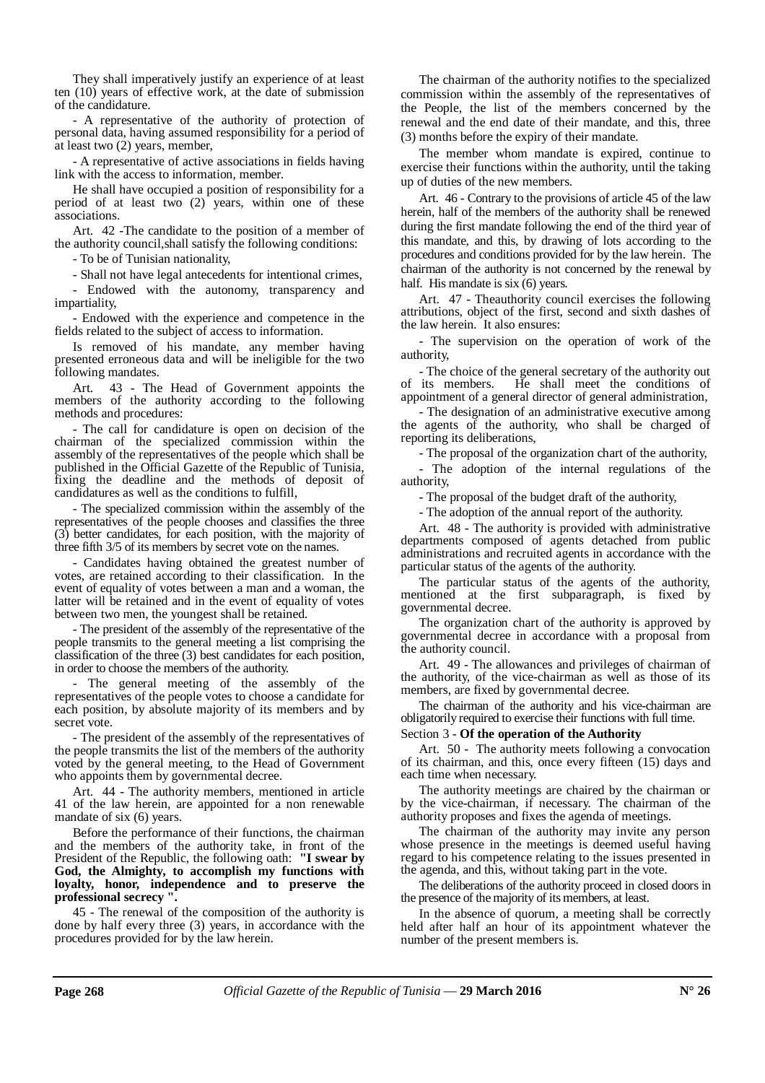They shall imperatively justify an experience of at least ten (10) years of effective work, at the date of submission of the candidature.

- A representative of the authority of protection of personal data, having assumed responsibility for a period of at least two (2) years, member,

- A representative of active associations in fields having link with the access to information, member.

He shall have occupied a position of responsibility for a period of at least two  $(2)$  years, within one of these associations.

Art. 42 -The candidate to the position of a member of the authority council,shall satisfy the following conditions:

- To be of Tunisian nationality,

- Shall not have legal antecedents for intentional crimes,

- Endowed with the autonomy, transparency and impartiality,

- Endowed with the experience and competence in the fields related to the subject of access to information.

Is removed of his mandate, any member having presented erroneous data and will be ineligible for the two following mandates.

Art. 43 - The Head of Government appoints the members of the authority according to the following methods and procedures:

- The call for candidature is open on decision of the chairman of the specialized commission within the assembly of the representatives of the people which shall be published in the Official Gazette of the Republic of Tunisia, fixing the deadline and the methods of deposit of candidatures as well as the conditions to fulfill,

- The specialized commission within the assembly of the representatives of the people chooses and classifies the three (3) better candidates, for each position, with the majority of three fifth 3/5 of its members by secret vote on the names.

- Candidates having obtained the greatest number of votes, are retained according to their classification. In the event of equality of votes between a man and a woman, the latter will be retained and in the event of equality of votes between two men, the youngest shall be retained.

- The president of the assembly of the representative of the people transmits to the general meeting a list comprising the classification of the three (3) best candidates for each position, in order to choose the members of the authority.

- The general meeting of the assembly of the representatives of the people votes to choose a candidate for each position, by absolute majority of its members and by secret vote.

- The president of the assembly of the representatives of the people transmits the list of the members of the authority voted by the general meeting, to the Head of Government who appoints them by governmental decree.

Art. 44 - The authority members, mentioned in article 41 of the law herein, are appointed for a non renewable mandate of six (6) years.

Before the performance of their functions, the chairman and the members of the authority take, in front of the President of the Republic, the following oath: **"I swear by God, the Almighty, to accomplish my functions with loyalty, honor, independence and to preserve the professional secrecy ".** 

45 - The renewal of the composition of the authority is done by half every three (3) years, in accordance with the procedures provided for by the law herein.

The chairman of the authority notifies to the specialized commission within the assembly of the representatives of the People, the list of the members concerned by the renewal and the end date of their mandate, and this, three (3) months before the expiry of their mandate.

The member whom mandate is expired, continue to exercise their functions within the authority, until the taking up of duties of the new members.

Art. 46 - Contrary to the provisions of article 45 of the law herein, half of the members of the authority shall be renewed during the first mandate following the end of the third year of this mandate, and this, by drawing of lots according to the procedures and conditions provided for by the law herein. The chairman of the authority is not concerned by the renewal by half. His mandate is six (6) years.

Art. 47 - Theauthority council exercises the following attributions, object of the first, second and sixth dashes of the law herein. It also ensures:

- The supervision on the operation of work of the authority,

- The choice of the general secretary of the authority out of its members. He shall meet the conditions of He shall meet the conditions of appointment of a general director of general administration,

- The designation of an administrative executive among the agents of the authority, who shall be charged of reporting its deliberations,

- The proposal of the organization chart of the authority,

- The adoption of the internal regulations of the authority,

- The proposal of the budget draft of the authority,

- The adoption of the annual report of the authority.

Art. 48 - The authority is provided with administrative departments composed of agents detached from public administrations and recruited agents in accordance with the particular status of the agents of the authority.

The particular status of the agents of the authority, mentioned at the first subparagraph, is fixed by governmental decree.

The organization chart of the authority is approved by governmental decree in accordance with a proposal from the authority council.

Art. 49 - The allowances and privileges of chairman of the authority, of the vice-chairman as well as those of its members, are fixed by governmental decree.

The chairman of the authority and his vice-chairman are obligatorily required to exercise their functions with full time.

Section 3 - **Of the operation of the Authority**

Art. 50 - The authority meets following a convocation of its chairman, and this, once every fifteen (15) days and each time when necessary.

The authority meetings are chaired by the chairman or by the vice-chairman, if necessary. The chairman of the authority proposes and fixes the agenda of meetings.

The chairman of the authority may invite any person whose presence in the meetings is deemed useful having regard to his competence relating to the issues presented in the agenda, and this, without taking part in the vote.

The deliberations of the authority proceed in closed doors in the presence of the majority of its members, at least.

In the absence of quorum, a meeting shall be correctly held after half an hour of its appointment whatever the number of the present members is.